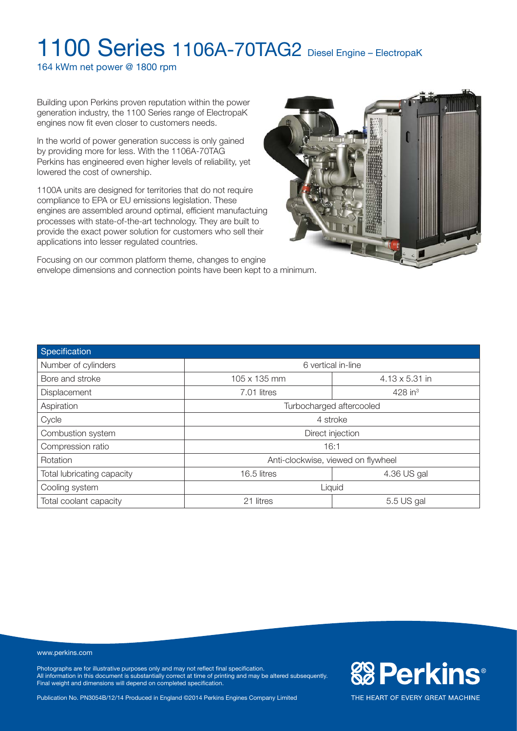164 kWm net power @ 1800 rpm

Building upon Perkins proven reputation within the power generation industry, the 1100 Series range of ElectropaK engines now fit even closer to customers needs.

In the world of power generation success is only gained by providing more for less. With the 1106A-70TAG Perkins has engineered even higher levels of reliability, yet lowered the cost of ownership.

1100A units are designed for territories that do not require compliance to EPA or EU emissions legislation. These engines are assembled around optimal, efficient manufactuing processes with state-of-the-art technology. They are built to provide the exact power solution for customers who sell their applications into lesser regulated countries.

Focusing on our common platform theme, changes to engine envelope dimensions and connection points have been kept to a minimum.



| Specification              |                                    |                       |  |
|----------------------------|------------------------------------|-----------------------|--|
| Number of cylinders        | 6 vertical in-line                 |                       |  |
| Bore and stroke            | 105 x 135 mm                       | $4.13 \times 5.31$ in |  |
| Displacement               | 7.01 litres                        | $428$ in <sup>3</sup> |  |
| Aspiration                 | Turbocharged aftercooled           |                       |  |
| Cycle                      | 4 stroke                           |                       |  |
| Combustion system          | Direct injection                   |                       |  |
| Compression ratio          | 16:1                               |                       |  |
| <b>Rotation</b>            | Anti-clockwise, viewed on flywheel |                       |  |
| Total lubricating capacity | 16.5 litres                        | 4.36 US gal           |  |
| Cooling system             | Liquid                             |                       |  |
| Total coolant capacity     | 21 litres                          | 5.5 US gal            |  |

#### www.perkins.com

Photographs are for illustrative purposes only and may not reflect final specification. All information in this document is substantially correct at time of printing and may be altered subsequently. Final weight and dimensions will depend on completed specification.

Publication No. PN3054B/12/14 Produced in England ©2014 Perkins Engines Company Limited

**& Perkins®**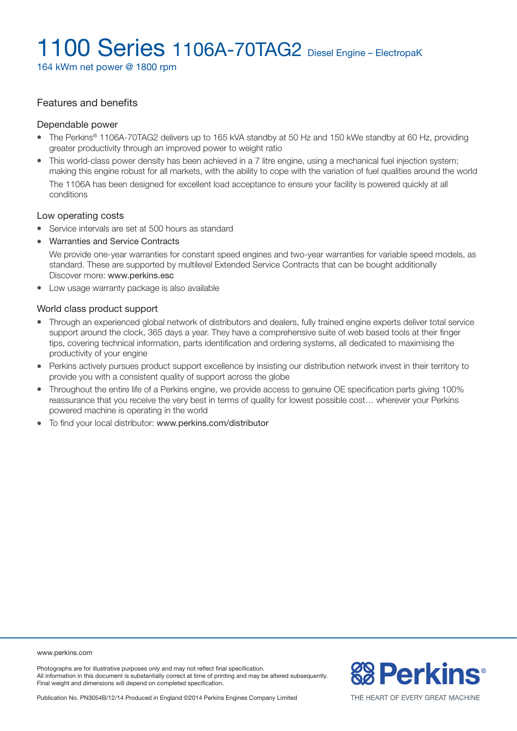164 kWm net power @ 1800 rpm

#### Features and benefits

#### Dependable power

- The Perkins® 1106A-70TAG2 delivers up to 165 kVA standby at 50 Hz and 150 kWe standby at 60 Hz, providing greater productivity through an improved power to weight ratio
- This world-class power density has been achieved in a 7 litre engine, using a mechanical fuel injection system; making this engine robust for all markets, with the ability to cope with the variation of fuel qualities around the world The 1106A has been designed for excellent load acceptance to ensure your facility is powered quickly at all conditions

#### Low operating costs

- Service intervals are set at 500 hours as standard
- Warranties and Service Contracts

We provide one-year warranties for constant speed engines and two-year warranties for variable speed models, as standard. These are supported by multilevel Extended Service Contracts that can be bought additionally Discover more: www.perkins.esc

• Low usage warranty package is also available

#### World class product support

- Through an experienced global network of distributors and dealers, fully trained engine experts deliver total service support around the clock, 365 days a year. They have a comprehensive suite of web based tools at their finger tips, covering technical information, parts identification and ordering systems, all dedicated to maximising the productivity of your engine
- Perkins actively pursues product support excellence by insisting our distribution network invest in their territory to provide you with a consistent quality of support across the globe
- <sup>l</sup> Throughout the entire life of a Perkins engine, we provide access to genuine OE specification parts giving 100% reassurance that you receive the very best in terms of quality for lowest possible cost… wherever your Perkins powered machine is operating in the world
- To find your local distributor: www.perkins.com/distributor

www.perkins.com

Photographs are for illustrative purposes only and may not reflect final specification. All information in this document is substantially correct at time of printing and may be altered subsequently. Final weight and dimensions will depend on completed specification.

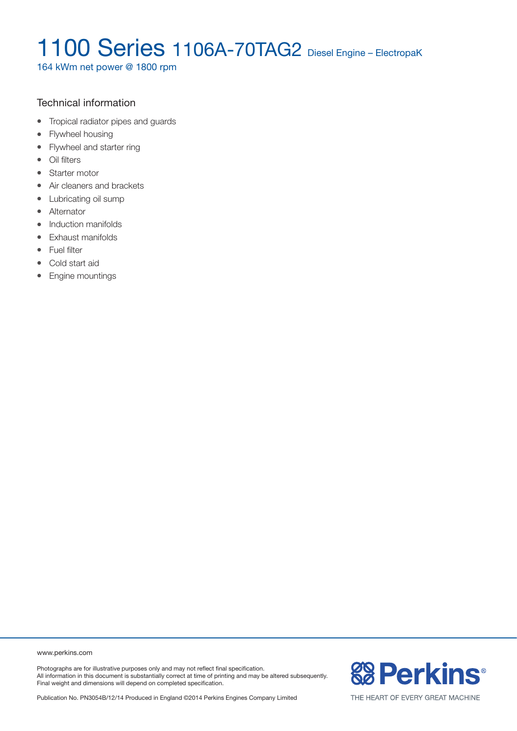164 kWm net power @ 1800 rpm

### Technical information

- Tropical radiator pipes and guards
- Flywheel housing
- Flywheel and starter ring
- Oil filters
- Starter motor
- Air cleaners and brackets
- Lubricating oil sump
- Alternator
- Induction manifolds
- Exhaust manifolds
- Fuel filter
- Cold start aid
- Engine mountings

www.perkins.com

Photographs are for illustrative purposes only and may not reflect final specification. All information in this document is substantially correct at time of printing and may be altered subsequently. Final weight and dimensions will depend on completed specification.

Publication No. PN3054B/12/14 Produced in England ©2014 Perkins Engines Company Limited

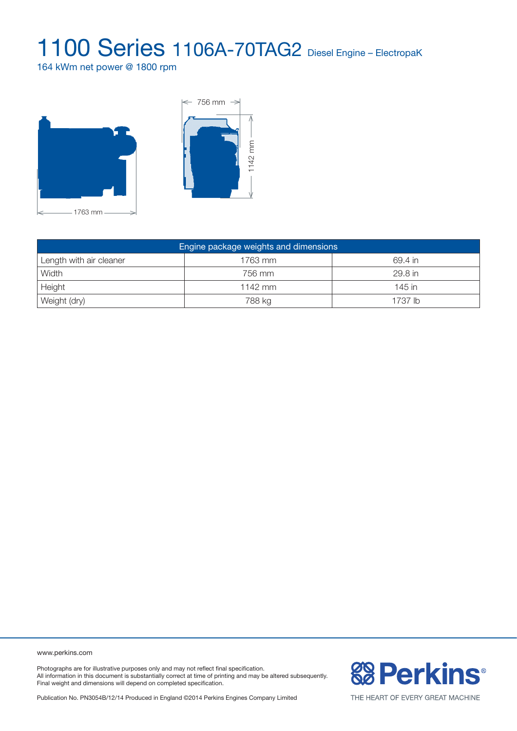164 kWm net power @ 1800 rpm





| Engine package weights and dimensions |         |          |  |  |
|---------------------------------------|---------|----------|--|--|
| Length with air cleaner               | 1763 mm | 69.4 in  |  |  |
| Width                                 | 756 mm  | 29.8 in  |  |  |
| Height                                | 1142 mm | $145$ in |  |  |
| Weight (dry)                          | 788 kg  | 1737 lb  |  |  |

www.perkins.com

Photographs are for illustrative purposes only and may not reflect final specification. All information in this document is substantially correct at time of printing and may be altered subsequently. Final weight and dimensions will depend on completed specification.



Publication No. PN3054B/12/14 Produced in England ©2014 Perkins Engines Company Limited